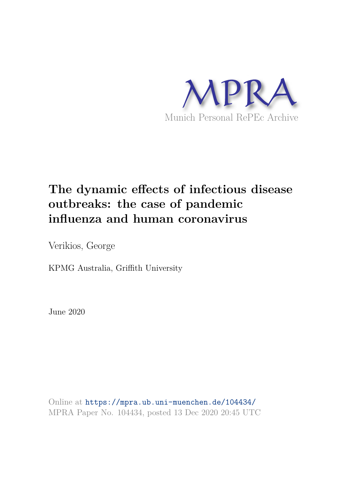

# **The dynamic effects of infectious disease outbreaks: the case of pandemic influenza and human coronavirus**

Verikios, George

KPMG Australia, Griffith University

June 2020

Online at https://mpra.ub.uni-muenchen.de/104434/ MPRA Paper No. 104434, posted 13 Dec 2020 20:45 UTC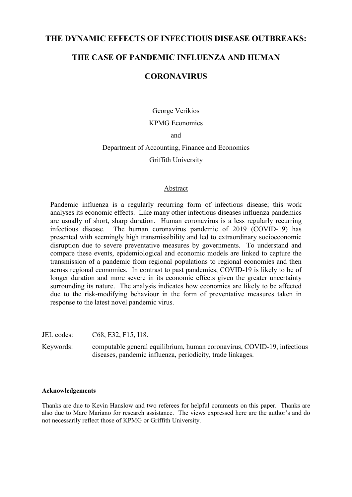# THE DYNAMIC EFFECTS OF INFECTIOUS DISEASE OUTBREAKS:

# THE CASE OF PANDEMIC INFLUENZA AND HUMAN

## **CORONAVIRUS**

George Verikios KPMG Economics

and

# Department of Accounting, Finance and Economics Griffith University

## Abstract

Pandemic influenza is a regularly recurring form of infectious disease; this work analyses its economic effects. Like many other infectious diseases influenza pandemics are usually of short, sharp duration. Human coronavirus is a less regularly recurring infectious disease. The human coronavirus pandemic of 2019 (COVID-19) has presented with seemingly high transmissibility and led to extraordinary socioeconomic disruption due to severe preventative measures by governments. To understand and compare these events, epidemiological and economic models are linked to capture the transmission of a pandemic from regional populations to regional economies and then across regional economies. In contrast to past pandemics, COVID-19 is likely to be of longer duration and more severe in its economic effects given the greater uncertainty surrounding its nature. The analysis indicates how economies are likely to be affected due to the risk-modifying behaviour in the form of preventative measures taken in response to the latest novel pandemic virus.

JEL codes: C68, E32, F15, I18.

Keywords: computable general equilibrium, human coronavirus, COVID119, infectious diseases, pandemic influenza, periodicity, trade linkages.

#### ${\bf Acknowledgements}$

Thanks are due to Kevin Hanslow and two referees for helpful comments on this paper. Thanks are also due to Marc Mariano for research assistance. The views expressed here are the author's and do not necessarily reflect those of KPMG or Griffith University.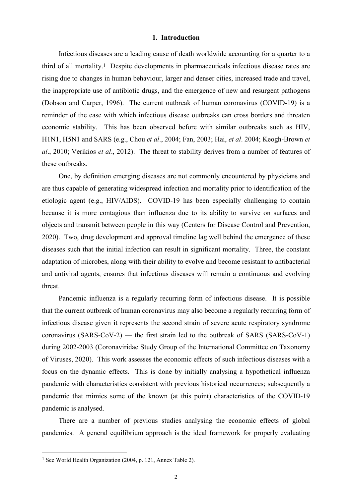#### 1. Introduction

 Infectious diseases are a leading cause of death worldwide accounting for a quarter to a third of all mortality.1 Despite developments in pharmaceuticals infectious disease rates are rising due to changes in human behaviour, larger and denser cities, increased trade and travel, the inappropriate use of antibiotic drugs, and the emergence of new and resurgent pathogens (Dobson and Carper, 1996). The current outbreak of human coronavirus (COVID-19) is a reminder of the ease with which infectious disease outbreaks can cross borders and threaten economic stability. This has been observed before with similar outbreaks such as HIV, H1N1, H5N1 and SARS (e.g., Chou *et al.*, 2004; Fan, 2003; Hai, *et al.* 2004; Keogh-Brown *et al*., 2010; Verikios *et al*., 2012). The threat to stability derives from a number of features of these outbreaks.

 One, by definition emerging diseases are not commonly encountered by physicians and are thus capable of generating widespread infection and mortality prior to identification of the etiologic agent (e.g., HIV/AIDS). COVID-19 has been especially challenging to contain because it is more contagious than influenza due to its ability to survive on surfaces and objects and transmit between people in this way (Centers for Disease Control and Prevention, 2020). Two, drug development and approval timeline lag well behind the emergence of these diseases such that the initial infection can result in significant mortality. Three, the constant adaptation of microbes, along with their ability to evolve and become resistant to antibacterial and antiviral agents, ensures that infectious diseases will remain a continuous and evolving threat.

 Pandemic influenza is a regularly recurring form of infectious disease. It is possible that the current outbreak of human coronavirus may also become a regularly recurring form of infectious disease given it represents the second strain of severe acute respiratory syndrome coronavirus  $(SARS-CoV-2)$  — the first strain led to the outbreak of SARS (SARS-CoV-1) during 2002-2003 (Coronaviridae Study Group of the International Committee on Taxonomy of Viruses, 2020). This work assesses the economic effects of such infectious diseases with a focus on the dynamic effects. This is done by initially analysing a hypothetical influenza pandemic with characteristics consistent with previous historical occurrences; subsequently a pandemic that mimics some of the known (at this point) characteristics of the COVID-19 pandemic is analysed.

 There are a number of previous studies analysing the economic effects of global pandemics. A general equilibrium approach is the ideal framework for properly evaluating

-

<sup>1</sup> See World Health Organization (2004, p. 121, Annex Table 2).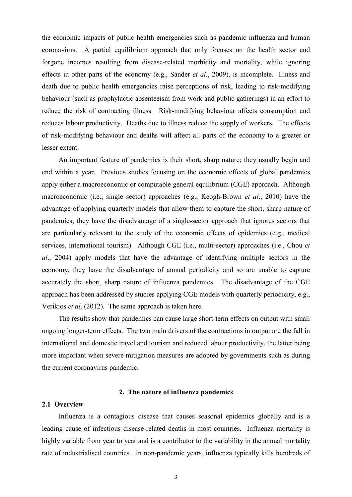the economic impacts of public health emergencies such as pandemic influenza and human coronavirus. A partial equilibrium approach that only focuses on the health sector and forgone incomes resulting from disease-related morbidity and mortality, while ignoring effects in other parts of the economy (e.g., Sander *et al*., 2009), is incomplete. Illness and death due to public health emergencies raise perceptions of risk, leading to risk-modifying behaviour (such as prophylactic absenteeism from work and public gatherings) in an effort to reduce the risk of contracting illness. Risk-modifying behaviour affects consumption and reduces labour productivity. Deaths due to illness reduce the supply of workers. The effects of risk-modifying behaviour and deaths will affect all parts of the economy to a greater or lesser extent.

 An important feature of pandemics is their short, sharp nature; they usually begin and end within a year. Previous studies focusing on the economic effects of global pandemics apply either a macroeconomic or computable general equilibrium (CGE) approach. Although macroeconomic (i.e., single sector) approaches (e.g., Keogh-Brown *et al.*, 2010) have the advantage of applying quarterly models that allow them to capture the short, sharp nature of pandemics; they have the disadvantage of a single-sector approach that ignores sectors that are particularly relevant to the study of the economic effects of epidemics (e.g., medical services, international tourism). Although CGE (i.e., multi-sector) approaches (i.e., Chou *et al*., 2004) apply models that have the advantage of identifying multiple sectors in the economy, they have the disadvantage of annual periodicity and so are unable to capture accurately the short, sharp nature of influenza pandemics. The disadvantage of the CGE approach has been addressed by studies applying CGE models with quarterly periodicity, e.g., Verikios *et al*. (2012). The same approach is taken here.

The results show that pandemics can cause large short-term effects on output with small ongoing longer-term effects. The two main drivers of the contractions in output are the fall in international and domestic travel and tourism and reduced labour productivity, the latter being more important when severe mitigation measures are adopted by governments such as during the current coronavirus pandemic.

#### **2. The nature of influenza pandemics**

#### 2.1 Overview

 Influenza is a contagious disease that causes seasonal epidemics globally and is a leading cause of infectious disease-related deaths in most countries. Influenza mortality is highly variable from year to year and is a contributor to the variability in the annual mortality rate of industrialised countries. In non-pandemic years, influenza typically kills hundreds of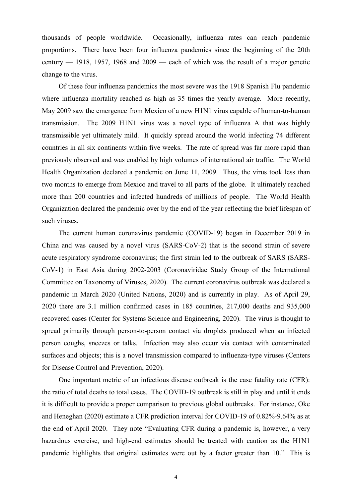thousands of people worldwide. Occasionally, influenza rates can reach pandemic proportions. There have been four influenza pandemics since the beginning of the 20th century  $-$  1918, 1957, 1968 and 2009  $-$  each of which was the result of a major genetic change to the virus.

 Of these four influenza pandemics the most severe was the 1918 Spanish Flu pandemic where influenza mortality reached as high as 35 times the yearly average. More recently, May 2009 saw the emergence from Mexico of a new H1N1 virus capable of human-to-human transmission. The 2009 H1N1 virus was a novel type of influenza A that was highly transmissible yet ultimately mild. It quickly spread around the world infecting 74 different countries in all six continents within five weeks. The rate of spread was far more rapid than previously observed and was enabled by high volumes of international air traffic. The World Health Organization declared a pandemic on June 11, 2009. Thus, the virus took less than two months to emerge from Mexico and travel to all parts of the globe. It ultimately reached more than 200 countries and infected hundreds of millions of people. The World Health Organization declared the pandemic over by the end of the year reflecting the brief lifespan of such viruses.

The current human coronavirus pandemic (COVID-19) began in December 2019 in China and was caused by a novel virus  $(SARS-CoV-2)$  that is the second strain of severe acute respiratory syndrome coronavirus; the first strain led to the outbreak of SARS (SARS- $CoV-1$ ) in East Asia during 2002-2003 (Coronaviridae Study Group of the International Committee on Taxonomy of Viruses, 2020). The current coronavirus outbreak was declared a pandemic in March 2020 (United Nations, 2020) and is currently in play. As of April 29, 2020 there are 3.1 million confirmed cases in 185 countries, 217,000 deaths and 935,000 recovered cases (Center for Systems Science and Engineering, 2020). The virus is thought to spread primarily through person-to-person contact via droplets produced when an infected person coughs, sneezes or talks. Infection may also occur via contact with contaminated surfaces and objects; this is a novel transmission compared to influenza-type viruses (Centers for Disease Control and Prevention, 2020).

 One important metric of an infectious disease outbreak is the case fatality rate (CFR): the ratio of total deaths to total cases. The COVID-19 outbreak is still in play and until it ends it is difficult to provide a proper comparison to previous global outbreaks. For instance, Oke and Heneghan (2020) estimate a CFR prediction interval for COVID-19 of  $0.82\%$ -9.64% as at the end of April 2020. They note "Evaluating CFR during a pandemic is, however, a very hazardous exercise, and high-end estimates should be treated with caution as the H1N1 pandemic highlights that original estimates were out by a factor greater than 10." This is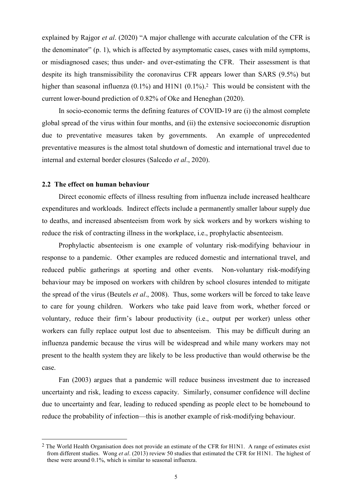explained by Rajgor *et al*. (2020) "A major challenge with accurate calculation of the CFR is the denominator" (p. 1), which is affected by asymptomatic cases, cases with mild symptoms, or misdiagnosed cases; thus under- and over-estimating the CFR. Their assessment is that despite its high transmissibility the coronavirus CFR appears lower than SARS (9.5%) but higher than seasonal influenza (0.1%) and H1N1 (0.1%).<sup>2</sup> This would be consistent with the current lower-bound prediction of  $0.82\%$  of Oke and Heneghan (2020).

In socio-economic terms the defining features of COVID-19 are (i) the almost complete global spread of the virus within four months, and (ii) the extensive socioeconomic disruption due to preventative measures taken by governments. An example of unprecedented preventative measures is the almost total shutdown of domestic and international travel due to internal and external border closures (Salcedo *et al*., 2020).

## **2.2 The effect on human behaviour**

<u>.</u>

 Direct economic effects of illness resulting from influenza include increased healthcare expenditures and workloads. Indirect effects include a permanently smaller labour supply due to deaths, and increased absenteeism from work by sick workers and by workers wishing to reduce the risk of contracting illness in the workplace, i.e., prophylactic absenteeism.

Prophylactic absenteeism is one example of voluntary risk-modifying behaviour in response to a pandemic. Other examples are reduced domestic and international travel, and reduced public gatherings at sporting and other events. Non-voluntary risk-modifying behaviour may be imposed on workers with children by school closures intended to mitigate the spread of the virus (Beutels *et al*., 2008). Thus, some workers will be forced to take leave to care for young children. Workers who take paid leave from work, whether forced or voluntary, reduce their firm's labour productivity (i.e., output per worker) unless other workers can fully replace output lost due to absenteeism. This may be difficult during an influenza pandemic because the virus will be widespread and while many workers may not present to the health system they are likely to be less productive than would otherwise be the case.

 Fan (2003) argues that a pandemic will reduce business investment due to increased uncertainty and risk, leading to excess capacity. Similarly, consumer confidence will decline due to uncertainty and fear, leading to reduced spending as people elect to be homebound to reduce the probability of infection—this is another example of risk-modifying behaviour.

<sup>&</sup>lt;sup>2</sup> The World Health Organisation does not provide an estimate of the CFR for H1N1. A range of estimates exist from different studies. Wong *et al*. (2013) review 50 studies that estimated the CFR for H1N1. The highest of these were around 0.1%, which is similar to seasonal influenza.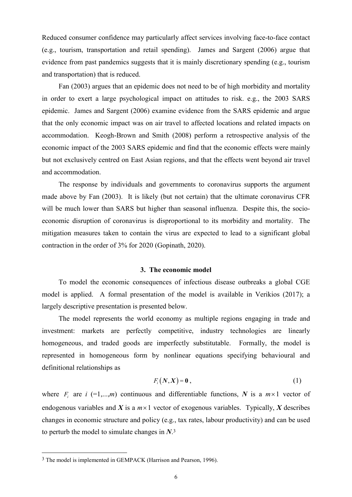Reduced consumer confidence may particularly affect services involving face-to-face contact (e.g., tourism, transportation and retail spending). James and Sargent (2006) argue that evidence from past pandemics suggests that it is mainly discretionary spending (e.g., tourism and transportation) that is reduced.

 Fan (2003) argues that an epidemic does not need to be of high morbidity and mortality in order to exert a large psychological impact on attitudes to risk. e.g., the 2003 SARS epidemic. James and Sargent (2006) examine evidence from the SARS epidemic and argue that the only economic impact was on air travel to affected locations and related impacts on accommodation. Keogh-Brown and Smith (2008) perform a retrospective analysis of the economic impact of the 2003 SARS epidemic and find that the economic effects were mainly but not exclusively centred on East Asian regions, and that the effects went beyond air travel and accommodation.

 The response by individuals and governments to coronavirus supports the argument made above by Fan (2003). It is likely (but not certain) that the ultimate coronavirus CFR will be much lower than SARS but higher than seasonal influenza. Despite this, the socioeconomic disruption of coronavirus is disproportional to its morbidity and mortality. The mitigation measures taken to contain the virus are expected to lead to a significant global contraction in the order of 3% for 2020 (Gopinath, 2020).

## **18. The economic model**

 To model the economic consequences of infectious disease outbreaks a global CGE model is applied. A formal presentation of the model is available in Verikios (2017); a largely descriptive presentation is presented below.

 The model represents the world economy as multiple regions engaging in trade and investment: markets are perfectly competitive, industry technologies are linearly homogeneous, and traded goods are imperfectly substitutable. Formally, the model is represented in homogeneous form by nonlinear equations specifying behavioural and definitional relationships as

$$
F_i(N,X)=0\,,\tag{1}
$$

where  $F_i$  are *i* (=1,...,*m*) continuous and differentiable functions, N is a  $m \times 1$  vector of endogenous variables and *X* is a  $m \times 1$  vector of exogenous variables. Typically, *X* describes changes in economic structure and policy (e.g., tax rates, labour productivity) and can be used to perturb the model to simulate changes in  $N^3$ .

-

<sup>3</sup> The model is implemented in GEMPACK (Harrison and Pearson, 1996).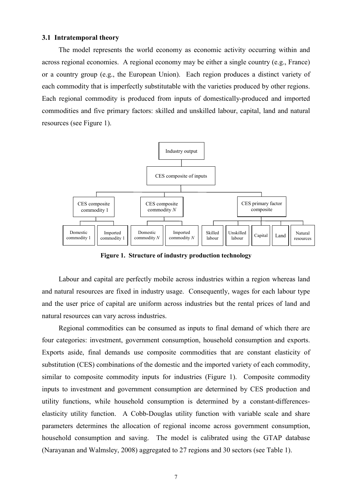#### **3.1 Intratemporal theory**

 The model represents the world economy as economic activity occurring within and across regional economies. A regional economy may be either a single country (e.g., France) or a country group (e.g., the European Union). Each region produces a distinct variety of each commodity that is imperfectly substitutable with the varieties produced by other regions. Each regional commodity is produced from inputs of domestically-produced and imported commodities and five primary factors: skilled and unskilled labour, capital, land and natural resources (see Figure 1).



**Figure 1. Structure of industry production technology** 

 Labour and capital are perfectly mobile across industries within a region whereas land and natural resources are fixed in industry usage. Consequently, wages for each labour type and the user price of capital are uniform across industries but the rental prices of land and natural resources can vary across industries.

 Regional commodities can be consumed as inputs to final demand of which there are four categories: investment, government consumption, household consumption and exports. Exports aside, final demands use composite commodities that are constant elasticity of substitution (CES) combinations of the domestic and the imported variety of each commodity, similar to composite commodity inputs for industries (Figure 1). Composite commodity inputs to investment and government consumption are determined by CES production and utility functions, while household consumption is determined by a constant-differenceselasticity utility function. A Cobb-Douglas utility function with variable scale and share parameters determines the allocation of regional income across government consumption, household consumption and saving. The model is calibrated using the GTAP database (Narayanan and Walmsley, 2008) aggregated to 27 regions and 30 sectors (see Table 1).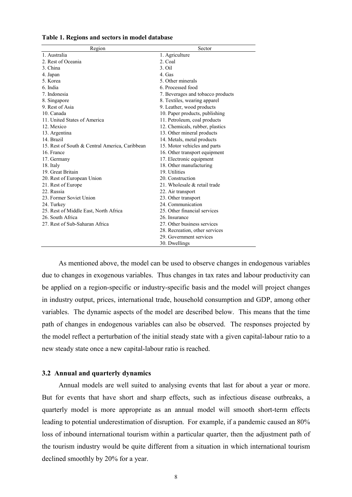#### **Table 1. Regions and sectors in model database**

| Region                                         | Sector                            |  |  |  |  |
|------------------------------------------------|-----------------------------------|--|--|--|--|
| 1. Australia                                   | 1. Agriculture                    |  |  |  |  |
| 2. Rest of Oceania                             | 2. Coal                           |  |  |  |  |
| 3. China                                       | $3.$ Oil                          |  |  |  |  |
| 4. Japan                                       | 4. Gas                            |  |  |  |  |
| 5. Korea                                       | 5. Other minerals                 |  |  |  |  |
| 6. India                                       | 6. Processed food                 |  |  |  |  |
| 7. Indonesia                                   | 7. Beverages and tobacco products |  |  |  |  |
| 8. Singapore                                   | 8. Textiles, wearing apparel      |  |  |  |  |
| 9. Rest of Asia                                | 9. Leather, wood products         |  |  |  |  |
| 10. Canada                                     | 10. Paper products, publishing    |  |  |  |  |
| 11. United States of America                   | 11. Petroleum, coal products      |  |  |  |  |
| 12. Mexico                                     | 12. Chemicals, rubber, plastics   |  |  |  |  |
| 13. Argentina                                  | 13. Other mineral products        |  |  |  |  |
| 14. Brazil                                     | 14. Metals, metal products        |  |  |  |  |
| 15. Rest of South & Central America, Caribbean | 15. Motor vehicles and parts      |  |  |  |  |
| 16. France                                     | 16. Other transport equipment     |  |  |  |  |
| 17. Germany                                    | 17. Electronic equipment          |  |  |  |  |
| 18. Italy                                      | 18. Other manufacturing           |  |  |  |  |
| 19. Great Britain                              | 19. Utilities                     |  |  |  |  |
| 20. Rest of European Union                     | 20. Construction                  |  |  |  |  |
| 21. Rest of Europe                             | 21. Wholesale & retail trade      |  |  |  |  |
| 22 Russia                                      | 22. Air transport                 |  |  |  |  |
| 23. Former Soviet Union                        | 23. Other transport               |  |  |  |  |
| 24. Turkey                                     | 24. Communication                 |  |  |  |  |
| 25. Rest of Middle East, North Africa          | 25. Other financial services      |  |  |  |  |
| 26. South Africa                               | 26. Insurance                     |  |  |  |  |
| 27. Rest of Sub-Saharan Africa                 | 27. Other business services       |  |  |  |  |
|                                                | 28. Recreation, other services    |  |  |  |  |
|                                                | 29. Government services           |  |  |  |  |
|                                                | 30. Dwellings                     |  |  |  |  |

 As mentioned above, the model can be used to observe changes in endogenous variables due to changes in exogenous variables. Thus changes in tax rates and labour productivity can be applied on a region-specific or industry-specific basis and the model will project changes in industry output, prices, international trade, household consumption and GDP, among other variables. The dynamic aspects of the model are described below. This means that the time path of changes in endogenous variables can also be observed. The responses projected by the model reflect a perturbation of the initial steady state with a given capital-labour ratio to a new steady state once a new capital-labour ratio is reached.

## **1.2 Annual and quarterly dynamics**

 Annual models are well suited to analysing events that last for about a year or more. But for events that have short and sharp effects, such as infectious disease outbreaks, a quarterly model is more appropriate as an annual model will smooth short-term effects leading to potential underestimation of disruption. For example, if a pandemic caused an 80% loss of inbound international tourism within a particular quarter, then the adjustment path of the tourism industry would be quite different from a situation in which international tourism declined smoothly by 20% for a year.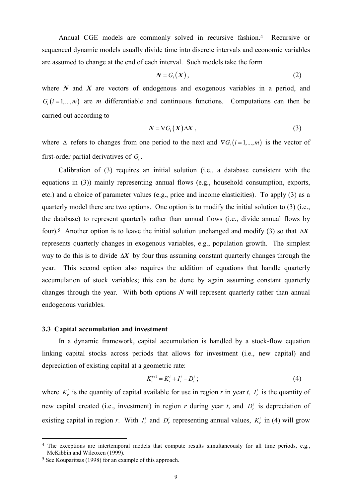Annual CGE models are commonly solved in recursive fashion.4 Recursive or sequenced dynamic models usually divide time into discrete intervals and economic variables are assumed to change at the end of each interval. Such models take the form

$$
N = G_i(X), \tag{2}
$$

where  $N$  and  $X$  are vectors of endogenous and exogenous variables in a period, and  $G_i$   $(i = 1,..., m)$  are *m* differentiable and continuous functions. Computations can then be carried out according to

$$
N = \nabla G_i(X) \Delta X \t{,} \t(3)
$$

where  $\Delta$  refers to changes from one period to the next and  $\nabla G_i$   $(i = 1,..., m)$  is the vector of first-order partial derivatives of  $G_i$ .

 Calibration of (3) requires an initial solution (i.e., a database consistent with the equations in (3)) mainly representing annual flows (e.g., household consumption, exports, etc.) and a choice of parameter values (e.g., price and income elasticities). To apply (3) as a quarterly model there are two options. One option is to modify the initial solution to (3) (i.e., the database) to represent quarterly rather than annual flows (i.e., divide annual flows by four).<sup>5</sup> Another option is to leave the initial solution unchanged and modify (3) so that  $\Delta X$ represents quarterly changes in exogenous variables, e.g., population growth. The simplest way to do this is to divide  $\Delta X$  by four thus assuming constant quarterly changes through the year. This second option also requires the addition of equations that handle quarterly accumulation of stock variables; this can be done by again assuming constant quarterly changes through the year. With both options  $N$  will represent quarterly rather than annual endogenous variables.

#### **1.3 Capital accumulation and investment**

In a dynamic framework, capital accumulation is handled by a stock-flow equation linking capital stocks across periods that allows for investment (i.e., new capital) and depreciation of existing capital at a geometric rate:

$$
K_r^{t+1} = K_r^t + I_r^t - D_r^t ; \t\t(4)
$$

where  $K_r^t$  is the quantity of capital available for use in region *r* in year *t*,  $I_r^t$  is the quantity of new capital created (i.e., investment) in region  $r$  during year  $t$ , and  $D_r^t$  is depreciation of existing capital in region *r*. With  $I_r^t$  and  $D_r^t$  representing annual values,  $K_r^t$  in (4) will grow

<u>.</u>

<sup>4</sup> The exceptions are intertemporal models that compute results simultaneously for all time periods, e.g., McKibbin and Wilcoxen (1999).

<sup>5</sup> See Kouparitsas (1998) for an example of this approach.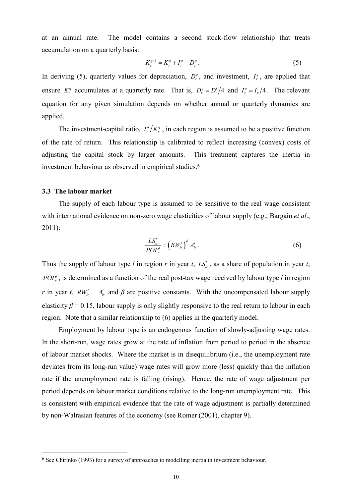at an annual rate. The model contains a second stock-flow relationship that treats accumulation on a quarterly basis:

$$
K_r^{q+1} = K_r^q + I_r^q - D_r^q. \tag{5}
$$

In deriving (5), quarterly values for depreciation,  $D_r^q$ , and investment,  $I_r^q$ , are applied that ensure  $K_r^q$  accumulates at a quarterly rate. That is,  $D_r^q = D_r^t/4$  and  $I_r^q = I_r^t/4$ . The relevant equation for any given simulation depends on whether annual or quarterly dynamics are applied.

The investment-capital ratio,  $I_r^q / K_r^q$ , in each region is assumed to be a positive function of the rate of return. This relationship is calibrated to reflect increasing (convex) costs of adjusting the capital stock by larger amounts. This treatment captures the inertia in investment behaviour as observed in empirical studies.<sup>6</sup>

## **3.3 The labour market**

-

 The supply of each labour type is assumed to be sensitive to the real wage consistent with international evidence on non-zero wage elasticities of labour supply (e.g., Bargain *et al.*, 2011):

$$
\frac{LS_{lr}^{t}}{POP_{r}^{t}} = \left(RW_{lr}^{t}\right)^{\beta}A_{lr}^{t}.
$$
\n
$$
(6)
$$

Thus the supply of labour type *l* in region *r* in year *t*,  $LS$ <sup>*t*</sup></sup>, as a share of population in year *t*,  $POP<sup>t</sup><sub>r</sub>$ , is determined as a function of the real post-tax wage received by labour type *l* in region *r* in year *t*,  $RW<sup>t</sup><sub>lr</sub>$ .  $A<sup>t</sup><sub>lr</sub>$  and  $\beta$  are positive constants. With the uncompensated labour supply elasticity  $\beta$  = 0.15, labour supply is only slightly responsive to the real return to labour in each region. Note that a similar relationship to (6) applies in the quarterly model.

Employment by labour type is an endogenous function of slowly-adjusting wage rates. In the short-run, wage rates grow at the rate of inflation from period to period in the absence of labour market shocks. Where the market is in disequilibrium (i.e., the unemployment rate deviates from its long-run value) wage rates will grow more (less) quickly than the inflation rate if the unemployment rate is falling (rising). Hence, the rate of wage adjustment per period depends on labour market conditions relative to the long-run unemployment rate. This is consistent with empirical evidence that the rate of wage adjustment is partially determined by non-Walrasian features of the economy (see Romer (2001), chapter 9).

<sup>6</sup> See Chirinko (1993) for a survey of approaches to modelling inertia in investment behaviour.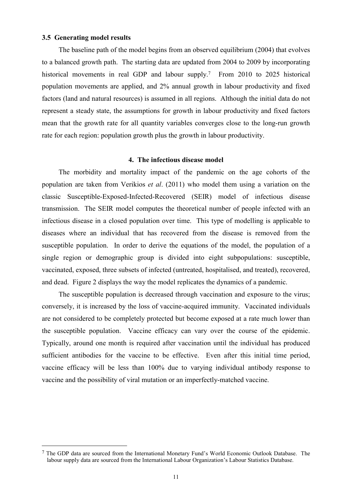## **155 Generating model results**

-

 The baseline path of the model begins from an observed equilibrium (2004) that evolves to a balanced growth path. The starting data are updated from 2004 to 2009 by incorporating historical movements in real GDP and labour supply.<sup>7</sup> From 2010 to 2025 historical population movements are applied, and 2% annual growth in labour productivity and fixed factors (land and natural resources) is assumed in all regions. Although the initial data do not represent a steady state, the assumptions for growth in labour productivity and fixed factors mean that the growth rate for all quantity variables converges close to the long-run growth rate for each region: population growth plus the growth in labour productivity.

## 4. The infectious disease model

 The morbidity and mortality impact of the pandemic on the age cohorts of the population are taken from Verikios *et al*. (2011) who model them using a variation on the classic Susceptible-Exposed-Infected-Recovered (SEIR) model of infectious disease transmission. The SEIR model computes the theoretical number of people infected with an infectious disease in a closed population over time. This type of modelling is applicable to diseases where an individual that has recovered from the disease is removed from the susceptible population. In order to derive the equations of the model, the population of a single region or demographic group is divided into eight subpopulations: susceptible, vaccinated, exposed, three subsets of infected (untreated, hospitalised, and treated), recovered, and dead. Figure 2 displays the way the model replicates the dynamics of a pandemic.

 The susceptible population is decreased through vaccination and exposure to the virus; conversely, it is increased by the loss of vaccine-acquired immunity. Vaccinated individuals are not considered to be completely protected but become exposed at a rate much lower than the susceptible population. Vaccine efficacy can vary over the course of the epidemic. Typically, around one month is required after vaccination until the individual has produced sufficient antibodies for the vaccine to be effective. Even after this initial time period, vaccine efficacy will be less than 100% due to varying individual antibody response to vaccine and the possibility of viral mutation or an imperfectly-matched vaccine.

<sup>7</sup> The GDP data are sourced from the International Monetary Fund's World Economic Outlook Database. The labour supply data are sourced from the International Labour Organization's Labour Statistics Database.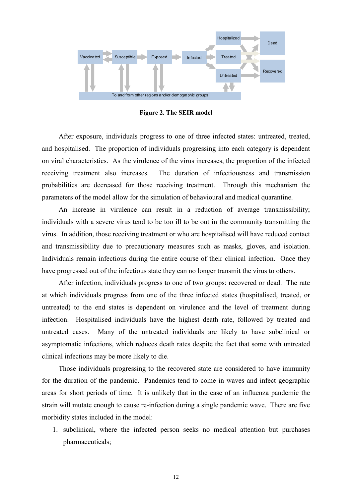

**Figure 2. The SEIR model** 

 After exposure, individuals progress to one of three infected states: untreated, treated, and hospitalised. The proportion of individuals progressing into each category is dependent on viral characteristics. As the virulence of the virus increases, the proportion of the infected receiving treatment also increases. The duration of infectiousness and transmission probabilities are decreased for those receiving treatment. Through this mechanism the parameters of the model allow for the simulation of behavioural and medical quarantine.

 An increase in virulence can result in a reduction of average transmissibility; individuals with a severe virus tend to be too ill to be out in the community transmitting the virus. In addition, those receiving treatment or who are hospitalised will have reduced contact and transmissibility due to precautionary measures such as masks, gloves, and isolation. Individuals remain infectious during the entire course of their clinical infection. Once they have progressed out of the infectious state they can no longer transmit the virus to others.

 After infection, individuals progress to one of two groups: recovered or dead. The rate at which individuals progress from one of the three infected states (hospitalised, treated, or untreated) to the end states is dependent on virulence and the level of treatment during infection. Hospitalised individuals have the highest death rate, followed by treated and untreated cases. Many of the untreated individuals are likely to have subclinical or asymptomatic infections, which reduces death rates despite the fact that some with untreated clinical infections may be more likely to die.

 Those individuals progressing to the recovered state are considered to have immunity for the duration of the pandemic. Pandemics tend to come in waves and infect geographic areas for short periods of time. It is unlikely that in the case of an influenza pandemic the strain will mutate enough to cause re-infection during a single pandemic wave. There are five morbidity states included in the model:

1. subclinical, where the infected person seeks no medical attention but purchases pharmaceuticals;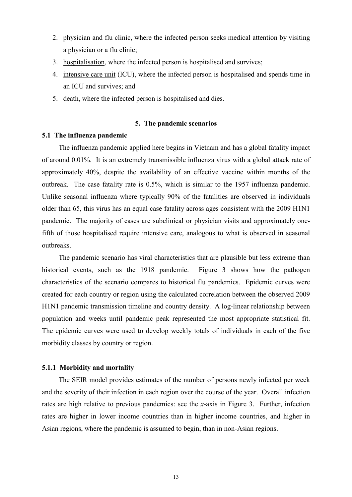- 2. physician and flu clinic, where the infected person seeks medical attention by visiting a physician or a flu clinic;
- 3. hospitalisation, where the infected person is hospitalised and survives;
- 4. intensive care unit (ICU), where the infected person is hospitalised and spends time in an ICU and survives; and
- 5. death, where the infected person is hospitalised and dies.

## **5.** The pandemic scenarios

## **5.1 The influenza pandemic**

 The influenza pandemic applied here begins in Vietnam and has a global fatality impact of around 0.01%. It is an extremely transmissible influenza virus with a global attack rate of approximately 40%, despite the availability of an effective vaccine within months of the outbreak. The case fatality rate is 0.5%, which is similar to the 1957 influenza pandemic. Unlike seasonal influenza where typically 90% of the fatalities are observed in individuals older than 65, this virus has an equal case fatality across ages consistent with the 2009 H1N1 pandemic. The majority of cases are subclinical or physician visits and approximately onefifth of those hospitalised require intensive care, analogous to what is observed in seasonal outbreaks.

 The pandemic scenario has viral characteristics that are plausible but less extreme than historical events, such as the 1918 pandemic. Figure 3 shows how the pathogen characteristics of the scenario compares to historical flu pandemics. Epidemic curves were created for each country or region using the calculated correlation between the observed 2009 H<sub>1N1</sub> pandemic transmission timeline and country density. A log-linear relationship between population and weeks until pandemic peak represented the most appropriate statistical fit. The epidemic curves were used to develop weekly totals of individuals in each of the five morbidity classes by country or region.

## **5.1.1 Morbidity and mortality**

 The SEIR model provides estimates of the number of persons newly infected per week and the severity of their infection in each region over the course of the year. Overall infection rates are high relative to previous pandemics: see the *x*-axis in Figure 3. Further, infection rates are higher in lower income countries than in higher income countries, and higher in Asian regions, where the pandemic is assumed to begin, than in non-Asian regions.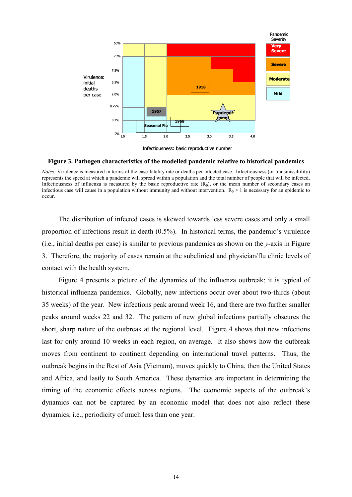

Infectiousness: basic reproductive number

#### Figure 3. Pathogen characteristics of the modelled pandemic relative to historical pandemics

*Notes:* Virulence is measured in terms of the case-fatality rate or deaths per infected case. Infectiousness (or transmissibility) represents the speed at which a pandemic will spread within a population and the total number of people that will be infected. Infectiousness of influenza is measured by the basic reproductive rate  $(R_0)$ , or the mean number of secondary cases an infectious case will cause in a population without immunity and without intervention.  $R_0 > 1$  is necessary for an epidemic to occur.

 The distribution of infected cases is skewed towards less severe cases and only a small proportion of infections result in death (0.5%). In historical terms, the pandemic's virulence  $(i.e., initial deaths per case)$  is similar to previous pandemics as shown on the *y*-axis in Figure 3. Therefore, the majority of cases remain at the subclinical and physician/flu clinic levels of contact with the health system.

 Figure 4 presents a picture of the dynamics of the influenza outbreak; it is typical of historical influenza pandemics. Globally, new infections occur over about two-thirds (about 35 weeks) of the year. New infections peak around week 16, and there are two further smaller peaks around weeks 22 and 32. The pattern of new global infections partially obscures the short, sharp nature of the outbreak at the regional level. Figure 4 shows that new infections last for only around 10 weeks in each region, on average. It also shows how the outbreak moves from continent to continent depending on international travel patterns. Thus, the outbreak begins in the Rest of Asia (Vietnam), moves quickly to China, then the United States and Africa, and lastly to South America. These dynamics are important in determining the timing of the economic effects across regions. The economic aspects of the outbreak's dynamics can not be captured by an economic model that does not also reflect these dynamics, i.e., periodicity of much less than one year.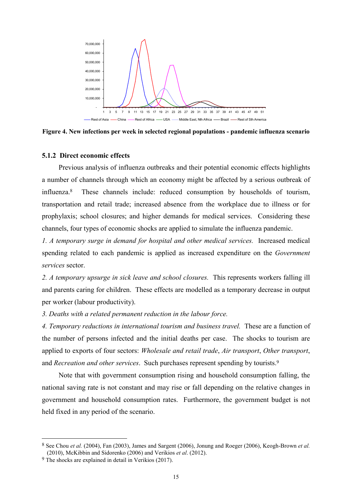

Figure 4. New infections per week in selected regional populations - pandemic influenza scenario

#### **5.1.2 Direct economic effects**

 Previous analysis of influenza outbreaks and their potential economic effects highlights a number of channels through which an economy might be affected by a serious outbreak of influenza.8 These channels include: reduced consumption by households of tourism, transportation and retail trade; increased absence from the workplace due to illness or for prophylaxis; school closures; and higher demands for medical services. Considering these channels, four types of economic shocks are applied to simulate the influenza pandemic.

*1. A temporary surge in demand for hospital and other medical services.* Increased medical spending related to each pandemic is applied as increased expenditure on the *Government services* sector.

*2. A temporary upsurge in sick leave and school closures.* This represents workers falling ill and parents caring for children. These effects are modelled as a temporary decrease in output per worker (labour productivity).

*3. Deaths with a related permanent reduction in the labour force.* 

*4. Temporary reductions in international tourism and business travel.* These are a function of the number of persons infected and the initial deaths per case. The shocks to tourism are applied to exports of four sectors: *Wholesale and retail trade*, *Air transport*, *Other transport*, and *Recreation and other services*. Such purchases represent spending by tourists.<sup>9</sup>

 Note that with government consumption rising and household consumption falling, the national saving rate is not constant and may rise or fall depending on the relative changes in government and household consumption rates. Furthermore, the government budget is not held fixed in any period of the scenario.

<u>.</u>

 $8$  See Chou *et al.* (2004), Fan (2003), James and Sargent (2006), Jonung and Roeger (2006), Keogh-Brown *et al.* (2010), McKibbin and Sidorenko (2006) and Verikios *et al*. (2012).

 $9$  The shocks are explained in detail in Verikios (2017).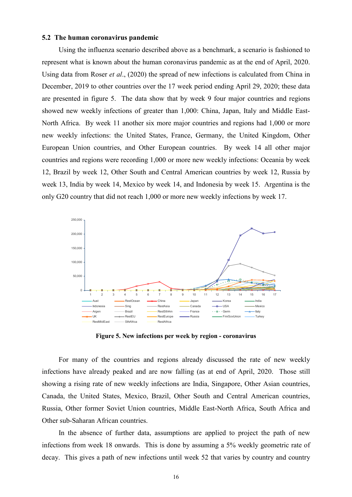#### **5.2 The human coronavirus pandemic**

 Using the influenza scenario described above as a benchmark, a scenario is fashioned to represent what is known about the human coronavirus pandemic as at the end of April, 2020. Using data from Roser *et al*., (2020) the spread of new infections is calculated from China in December, 2019 to other countries over the 17 week period ending April 29, 2020; these data are presented in figure 5. The data show that by week 9 four major countries and regions showed new weekly infections of greater than 1,000: China, Japan, Italy and Middle East-North Africa. By week 11 another six more major countries and regions had 1,000 or more new weekly infections: the United States, France, Germany, the United Kingdom, Other European Union countries, and Other European countries. By week 14 all other major countries and regions were recording 1,000 or more new weekly infections: Oceania by week 12, Brazil by week 12, Other South and Central American countries by week 12, Russia by week 13, India by week 14, Mexico by week 14, and Indonesia by week 15. Argentina is the only G20 country that did not reach 1,000 or more new weekly infections by week 17.



**Figure 5. New infections per week by region - coronavirus** 

 For many of the countries and regions already discussed the rate of new weekly infections have already peaked and are now falling (as at end of April, 2020. Those still showing a rising rate of new weekly infections are India, Singapore, Other Asian countries, Canada, the United States, Mexico, Brazil, Other South and Central American countries, Russia, Other former Soviet Union countries, Middle East-North Africa, South Africa and Other sub-Saharan African countries.

 In the absence of further data, assumptions are applied to project the path of new infections from week 18 onwards. This is done by assuming a 5% weekly geometric rate of decay. This gives a path of new infections until week 52 that varies by country and country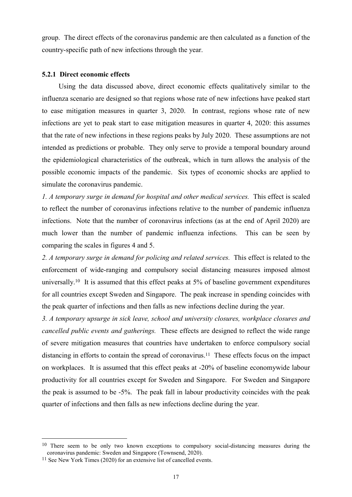group. The direct effects of the coronavirus pandemic are then calculated as a function of the country-specific path of new infections through the year.

## **5.2.1 Direct economic effects**

 Using the data discussed above, direct economic effects qualitatively similar to the influenza scenario are designed so that regions whose rate of new infections have peaked start to ease mitigation measures in quarter 3, 2020. In contrast, regions whose rate of new infections are yet to peak start to ease mitigation measures in quarter 4, 2020: this assumes that the rate of new infections in these regions peaks by July 2020. These assumptions are not intended as predictions or probable. They only serve to provide a temporal boundary around the epidemiological characteristics of the outbreak, which in turn allows the analysis of the possible economic impacts of the pandemic. Six types of economic shocks are applied to simulate the coronavirus pandemic.

*1. A temporary surge in demand for hospital and other medical services.* This effect is scaled to reflect the number of coronavirus infections relative to the number of pandemic influenza infections. Note that the number of coronavirus infections (as at the end of April 2020) are much lower than the number of pandemic influenza infections. This can be seen by comparing the scales in figures 4 and 5.

*2. A temporary surge in demand for policing and related services.* This effect is related to the enforcement of wide-ranging and compulsory social distancing measures imposed almost universally.10 It is assumed that this effect peaks at 5% of baseline government expenditures for all countries except Sweden and Singapore. The peak increase in spending coincides with the peak quarter of infections and then falls as new infections decline during the year.

*3. A temporary upsurge in sick leave, school and university closures, workplace closures and cancelled public events and gatherings.* These effects are designed to reflect the wide range of severe mitigation measures that countries have undertaken to enforce compulsory social distancing in efforts to contain the spread of coronavirus.<sup>11</sup> These effects focus on the impact on workplaces. It is assumed that this effect peaks at 120% of baseline economywide labour productivity for all countries except for Sweden and Singapore. For Sweden and Singapore the peak is assumed to be -5%. The peak fall in labour productivity coincides with the peak quarter of infections and then falls as new infections decline during the year.

<u>.</u>

 $10$  There seem to be only two known exceptions to compulsory social-distancing measures during the coronavirus pandemic: Sweden and Singapore (Townsend, 2020).

<sup>11</sup> See New York Times (2020) for an extensive list of cancelled events.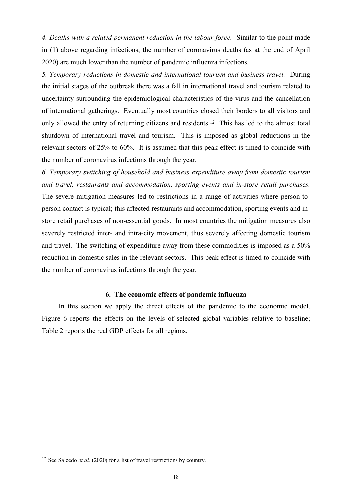*4. Deaths with a related permanent reduction in the labour force.* Similar to the point made in (1) above regarding infections, the number of coronavirus deaths (as at the end of April 2020) are much lower than the number of pandemic influenza infections.

*5. Temporary reductions in domestic and international tourism and business travel.* During the initial stages of the outbreak there was a fall in international travel and tourism related to uncertainty surrounding the epidemiological characteristics of the virus and the cancellation of international gatherings. Eventually most countries closed their borders to all visitors and only allowed the entry of returning citizens and residents.12 This has led to the almost total shutdown of international travel and tourism. This is imposed as global reductions in the relevant sectors of 25% to 60%. It is assumed that this peak effect is timed to coincide with the number of coronavirus infections through the year.

*6. Temporary switching of household and business expenditure away from domestic tourism and travel, restaurants and accommodation, sporting events and in-store retail purchases.* The severe mitigation measures led to restrictions in a range of activities where person-toperson contact is typical; this affected restaurants and accommodation, sporting events and in1 store retail purchases of non-essential goods. In most countries the mitigation measures also severely restricted inter- and intra-city movement, thus severely affecting domestic tourism and travel. The switching of expenditure away from these commodities is imposed as a 50% reduction in domestic sales in the relevant sectors. This peak effect is timed to coincide with the number of coronavirus infections through the year.

## **6. The economic effects of pandemic influenza**

 In this section we apply the direct effects of the pandemic to the economic model. Figure 6 reports the effects on the levels of selected global variables relative to baseline; Table 2 reports the real GDP effects for all regions.

-

<sup>12</sup> See Salcedo *et al.* (2020) for a list of travel restrictions by country.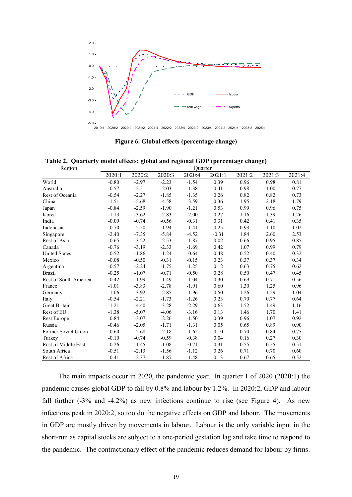

Figure 6. Global effects (percentage change)

Table 2. Quarterly model effects: global and regional GDP (percentage change)

| Region                | Quarter |         |         |         |         |        |        |        |
|-----------------------|---------|---------|---------|---------|---------|--------|--------|--------|
|                       | 2020:1  | 2020:2  | 2020:3  | 2020:4  | 2021:1  | 2021:2 | 2021:3 | 2021:4 |
| World                 | $-0.80$ | $-2.97$ | $-2.23$ | $-1.54$ | 0.39    | 0.96   | 0.98   | 0.81   |
| Australia             | $-0.57$ | $-2.51$ | $-2.03$ | $-1.38$ | 0.41    | 0.98   | 1.00   | 0.77   |
| Rest of Oceania       | $-0.54$ | $-2.27$ | $-1.85$ | $-1.35$ | 0.26    | 0.82   | 0.82   | 0.73   |
| China                 | $-1.51$ | $-5.68$ | $-4.58$ | $-3.59$ | 0.36    | 1.95   | 2.18   | 1.79   |
| Japan                 | $-0.84$ | $-2.59$ | $-1.90$ | $-1.21$ | 0.53    | 0.99   | 0.96   | 0.75   |
| Korea                 | $-1.13$ | $-3.62$ | $-2.83$ | $-2.00$ | 0.27    | 1.16   | 1.39   | 1.26   |
| India                 | $-0.09$ | $-0.74$ | $-0.56$ | $-0.31$ | 0.31    | 0.42   | 0.41   | 0.35   |
| Indonesia             | $-0.70$ | $-2.50$ | $-1.94$ | $-1.41$ | 0.25    | 0.93   | 1.10   | 1.02   |
| Singapore             | $-2.40$ | $-7.35$ | $-5.84$ | $-4.52$ | $-0.31$ | 1.84   | 2.60   | 2.53   |
| Rest of Asia          | $-0.65$ | $-3.22$ | $-2.53$ | $-1.87$ | 0.02    | 0.66   | 0.95   | 0.85   |
| Canada                | $-0.76$ | $-3.19$ | $-2.33$ | $-1.69$ | 0.42    | 1.07   | 0.99   | 0.79   |
| <b>United States</b>  | $-0.52$ | $-1.86$ | $-1.24$ | $-0.64$ | 0.48    | 0.52   | 0.40   | 0.32   |
| Mexico                | $-0.08$ | $-0.50$ | $-0.31$ | $-0.15$ | 0.23    | 0.37   | 0.37   | 0.34   |
| Argentina             | $-0.57$ | $-2.24$ | $-1.75$ | $-1.25$ | 0.12    | 0.63   | 0.75   | 0.62   |
| <b>Brazil</b>         | $-0.25$ | $-1.07$ | $-0.71$ | $-0.50$ | 0.28    | 0.50   | 0.47   | 0.45   |
| Rest of South America | $-0.42$ | $-1.99$ | $-1.49$ | $-1.04$ | 0.30    | 0.69   | 0.71   | 0.56   |
| France                | $-1.01$ | $-3.83$ | $-2.78$ | $-1.91$ | 0.60    | 1.30   | 1.25   | 0.96   |
| Germany               | $-1.06$ | $-3.92$ | $-2.85$ | $-1.96$ | 0.50    | 1.26   | 1.29   | 1.04   |
| Italy                 | $-0.54$ | $-2.21$ | $-1.73$ | $-1.26$ | 0.23    | 0.70   | 0.77   | 0.64   |
| <b>Great Britain</b>  | $-1.21$ | $-4.40$ | $-3.28$ | $-2.29$ | 0.63    | 1.52   | 1.49   | 1.16   |
| Rest of EU            | $-1.38$ | $-5.07$ | $-4.06$ | $-3.16$ | 0.13    | 1.46   | 1.70   | 1.41   |
| Rest Europe           | $-0.84$ | $-3.07$ | $-2.26$ | $-1.50$ | 0.39    | 0.96   | 1.07   | 0.92   |
| Russia                | $-0.46$ | $-2.05$ | $-1.71$ | $-1.31$ | 0.05    | 0.65   | 0.89   | 0.90   |
| Former Soviet Union   | $-0.60$ | $-2.68$ | $-2.18$ | $-1.62$ | 0.10    | 0.70   | 0.84   | 0.75   |
| Turkey                | $-0.10$ | $-0.74$ | $-0.59$ | $-0.38$ | 0.04    | 0.16   | 0.27   | 0.30   |
| Rest of Middle East   | $-0.26$ | $-1.45$ | $-1.08$ | $-0.71$ | 0.31    | 0.55   | 0.55   | 0.51   |
| South Africa          | $-0.51$ | $-2.13$ | $-1.56$ | $-1.12$ | 0.26    | 0.71   | 0.70   | 0.60   |
| Rest of Africa        | $-0.41$ | $-2.37$ | $-1.87$ | $-1.48$ | 0.13    | 0.67   | 0.65   | 0.52   |

 The main impacts occur in 2020, the pandemic year. In quarter 1 of 2020 (2020:1) the pandemic causes global GDP to fall by 0.8% and labour by 1.2%. In 2020:2, GDP and labour fall further  $(-3)$ % and  $-4.2$ %) as new infections continue to rise (see Figure 4). As new infections peak in 2020:2, so too do the negative effects on GDP and labour. The movements in GDP are mostly driven by movements in labour. Labour is the only variable input in the short-run as capital stocks are subject to a one-period gestation lag and take time to respond to the pandemic. The contractionary effect of the pandemic reduces demand for labour by firms.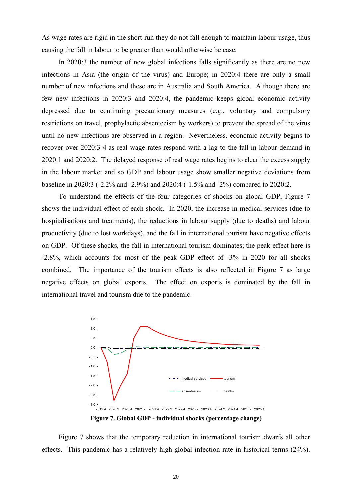As wage rates are rigid in the short-run they do not fall enough to maintain labour usage, thus causing the fall in labour to be greater than would otherwise be case.

 In 2020:3 the number of new global infections falls significantly as there are no new infections in Asia (the origin of the virus) and Europe; in 2020:4 there are only a small number of new infections and these are in Australia and South America. Although there are few new infections in 2020:3 and 2020:4, the pandemic keeps global economic activity depressed due to continuing precautionary measures (e.g., voluntary and compulsory restrictions on travel, prophylactic absenteeism by workers) to prevent the spread of the virus until no new infections are observed in a region. Nevertheless, economic activity begins to recover over 2020:3-4 as real wage rates respond with a lag to the fall in labour demand in 2020:1 and 2020:2. The delayed response of real wage rates begins to clear the excess supply in the labour market and so GDP and labour usage show smaller negative deviations from baseline in 2020:3 (-2.2% and -2.9%) and 2020:4 (-1.5% and -2%) compared to 2020:2.

 To understand the effects of the four categories of shocks on global GDP, Figure 7 shows the individual effect of each shock. In 2020, the increase in medical services (due to hospitalisations and treatments), the reductions in labour supply (due to deaths) and labour productivity (due to lost workdays), and the fall in international tourism have negative effects on GDP. Of these shocks, the fall in international tourism dominates; the peak effect here is 12.8%, which accounts for most of the peak GDP effect of 13% in 2020 for all shocks combined. The importance of the tourism effects is also reflected in Figure 7 as large negative effects on global exports. The effect on exports is dominated by the fall in international travel and tourism due to the pandemic.



 Figure 7 shows that the temporary reduction in international tourism dwarfs all other effects. This pandemic has a relatively high global infection rate in historical terms (24%).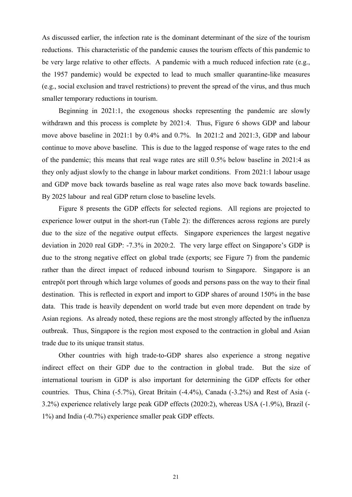As discussed earlier, the infection rate is the dominant determinant of the size of the tourism reductions. This characteristic of the pandemic causes the tourism effects of this pandemic to be very large relative to other effects. A pandemic with a much reduced infection rate (e.g., the 1957 pandemic) would be expected to lead to much smaller quarantine-like measures (e.g., social exclusion and travel restrictions) to prevent the spread of the virus, and thus much smaller temporary reductions in tourism.

 Beginning in 2021:1, the exogenous shocks representing the pandemic are slowly withdrawn and this process is complete by 2021:4. Thus, Figure 6 shows GDP and labour move above baseline in 2021:1 by 0.4% and 0.7%. In 2021:2 and 2021:3, GDP and labour continue to move above baseline. This is due to the lagged response of wage rates to the end of the pandemic; this means that real wage rates are still 0.5% below baseline in 2021:4 as they only adjust slowly to the change in labour market conditions. From 2021:1 labour usage and GDP move back towards baseline as real wage rates also move back towards baseline. By 2025 labour and real GDP return close to baseline levels.

 Figure 8 presents the GDP effects for selected regions. All regions are projected to experience lower output in the short-run (Table 2): the differences across regions are purely due to the size of the negative output effects. Singapore experiences the largest negative deviation in 2020 real GDP: -7.3% in 2020:2. The very large effect on Singapore's GDP is due to the strong negative effect on global trade (exports; see Figure 7) from the pandemic rather than the direct impact of reduced inbound tourism to Singapore. Singapore is an entrepôt port through which large volumes of goods and persons pass on the way to their final destination. This is reflected in export and import to GDP shares of around 150% in the base data. This trade is heavily dependent on world trade but even more dependent on trade by Asian regions. As already noted, these regions are the most strongly affected by the influenza outbreak. Thus, Singapore is the region most exposed to the contraction in global and Asian trade due to its unique transit status.

Other countries with high trade-to-GDP shares also experience a strong negative indirect effect on their GDP due to the contraction in global trade. But the size of international tourism in GDP is also important for determining the GDP effects for other countries. Thus, China  $(-5.7\%)$ , Great Britain  $(-4.4\%)$ , Canada  $(-3.2\%)$  and Rest of Asia  $(-$ 3.2%) experience relatively large peak GDP effects (2020:2), whereas USA (-1.9%), Brazil (-1%) and India (-0.7%) experience smaller peak GDP effects.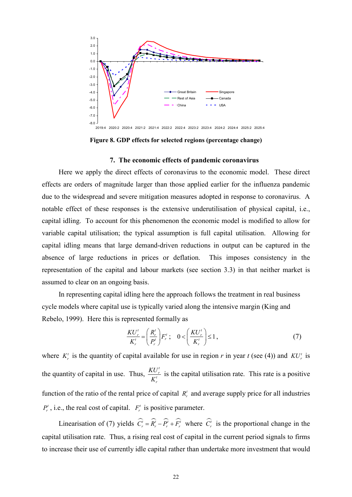

Figure 8. GDP effects for selected regions (percentage change)

#### **7. The economic effects of pandemic coronavirus**

 Here we apply the direct effects of coronavirus to the economic model. These direct effects are orders of magnitude larger than those applied earlier for the influenza pandemic due to the widespread and severe mitigation measures adopted in response to coronavirus. A notable effect of these responses is the extensive underutilisation of physical capital, i.e., capital idling. To account for this phenomenon the economic model is modified to allow for variable capital utilisation; the typical assumption is full capital utilisation. Allowing for capital idling means that large demand-driven reductions in output can be captured in the absence of large reductions in prices or deflation. This imposes consistency in the representation of the capital and labour markets (see section 3.3) in that neither market is assumed to clear on an ongoing basis.

 In representing capital idling here the approach follows the treatment in real business cycle models where capital use is typically varied along the intensive margin (King and Rebelo, 1999). Here this is represented formally as

$$
\frac{KU_r^t}{K_r^t} = \left(\frac{R_r^t}{P_r^t}\right)F_r^t; \quad 0 < \left(\frac{KU_r^t}{K_r^t}\right) \le 1\,,\tag{7}
$$

where  $K_r^t$  is the quantity of capital available for use in region *r* in year *t* (see (4)) and  $KU_r^t$  is the quantity of capital in use. Thus,  $\frac{K U_i^1}{K_r^1}$ *KU K* is the capital utilisation rate. This rate is a positive function of the ratio of the rental price of capital  $R_r^t$  and average supply price for all industries  $P_r^t$ , i.e., the real cost of capital.  $F_r^t$  is positive parameter.

Linearisation of (7) yields  $\widehat{C}_r^t = \widehat{R}_r^t - \widehat{P}_r^t + \widehat{F}_r^t$  where  $\widehat{C}_r^t$  is the proportional change in the capital utilisation rate. Thus, a rising real cost of capital in the current period signals to firms to increase their use of currently idle capital rather than undertake more investment that would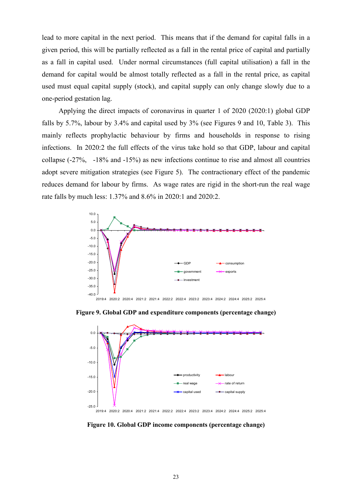lead to more capital in the next period. This means that if the demand for capital falls in a given period, this will be partially reflected as a fall in the rental price of capital and partially as a fall in capital used. Under normal circumstances (full capital utilisation) a fall in the demand for capital would be almost totally reflected as a fall in the rental price, as capital used must equal capital supply (stock), and capital supply can only change slowly due to a one-period gestation lag.

 Applying the direct impacts of coronavirus in quarter 1 of 2020 (2020:1) global GDP falls by 5.7%, labour by 3.4% and capital used by 3% (see Figures 9 and 10, Table 3). This mainly reflects prophylactic behaviour by firms and households in response to rising infections. In 2020:2 the full effects of the virus take hold so that GDP, labour and capital collapse  $(-27\%$ ,  $-18\%$  and  $-15\%$ ) as new infections continue to rise and almost all countries adopt severe mitigation strategies (see Figure 5). The contractionary effect of the pandemic reduces demand for labour by firms. As wage rates are rigid in the short-run the real wage rate falls by much less: 1.37% and 8.6% in 2020:1 and 2020:2.





Figure 9. Global GDP and expenditure components (percentage change)

Figure 10. Global GDP income components (percentage change)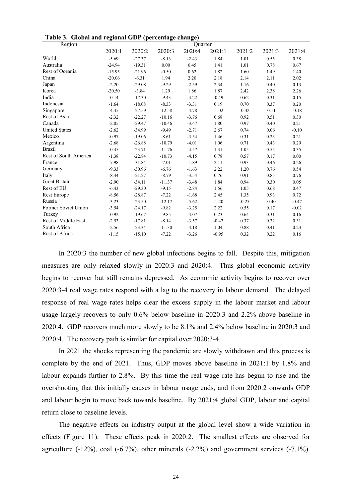|  | Table 3. Global and regional GDP (percentage change) |  |  |  |  |
|--|------------------------------------------------------|--|--|--|--|
|--|------------------------------------------------------|--|--|--|--|

| Region                     | Ouarter  |          |          |         |         |         |         |         |
|----------------------------|----------|----------|----------|---------|---------|---------|---------|---------|
|                            | 2020:1   | 2020:2   | 2020:3   | 2020:4  | 2021:1  | 2021:2  | 2021:3  | 2021:4  |
| World                      | $-5.69$  | $-27.37$ | $-8.13$  | $-2.43$ | 1.84    | 1.01    | 0.55    | 0.38    |
| Australia                  | $-24.94$ | $-19.31$ | 0.00     | 0.45    | 1.41    | 1.01    | 0.78    | 0.67    |
| Rest of Oceania            | $-15.95$ | $-21.96$ | $-0.50$  | 0.62    | 1.82    | 1.60    | 1.49    | 1.40    |
| China                      | $-20.06$ | $-6.31$  | 1.94     | 2.20    | 2.18    | 2.14    | 2.11    | 2.02    |
| Japan                      | $-2.20$  | $-29.08$ | $-9.29$  | $-2.59$ | 2.34    | 1.16    | 0.40    | 0.13    |
| Korea                      | $-20.50$ | $-3.84$  | 1.29     | 1.86    | 1.87    | 2.42    | 2.38    | 2.26    |
| India                      | $-0.14$  | $-17.30$ | $-9.43$  | $-4.22$ | $-0.49$ | 0.62    | 0.31    | 0.15    |
| Indonesia                  | $-1.64$  | $-18.08$ | $-8.33$  | $-3.31$ | 0.19    | 0.70    | 0.37    | 0.20    |
| Singapore                  | $-4.45$  | $-27.59$ | $-12.58$ | $-4.78$ | $-1.02$ | $-0.42$ | $-0.11$ | $-0.18$ |
| Rest of Asia               | $-2.32$  | $-22.27$ | $-10.16$ | $-3.76$ | 0.68    | 0.92    | 0.51    | 0.30    |
| Canada                     | $-2.05$  | $-29.47$ | $-10.46$ | $-3.47$ | 1.80    | 0.97    | 0.40    | 0.21    |
| <b>United States</b>       | $-2.62$  | $-34.99$ | $-9.49$  | $-2.71$ | 2.67    | 0.74    | 0.06    | $-0.10$ |
| Mexico                     | $-0.97$  | $-19.06$ | $-8.61$  | $-3.54$ | 1.46    | 0.31    | 0.23    | 0.21    |
| Argentina                  | $-2.68$  | $-26.88$ | $-10.79$ | $-4.01$ | 1.06    | 0.71    | 0.43    | 0.29    |
| <b>Brazil</b>              | $-0.45$  | $-23.71$ | $-11.76$ | $-4.57$ | 1.31    | 1.05    | 0.55    | 0.35    |
| Rest of South America      | $-1.38$  | $-22.84$ | $-10.73$ | $-4.15$ | 0.78    | 0.57    | 0.17    | 0.00    |
| France                     | $-7.98$  | $-31.84$ | $-7.01$  | $-1.89$ | 2.11    | 0.93    | 0.46    | 0.26    |
| Germany                    | $-9.33$  | $-30.96$ | $-6.76$  | $-1.63$ | 2.22    | 1.20    | 0.76    | 0.54    |
| Italy                      | $-8.44$  | $-21.27$ | $-8.79$  | $-3.54$ | 0.76    | 0.91    | 0.85    | 0.76    |
| <b>Great Britain</b>       | $-2.90$  | $-34.11$ | $-11.37$ | $-3.48$ | 1.84    | 0.94    | 0.30    | 0.05    |
| Rest of EU                 | $-6.43$  | $-29.30$ | $-9.15$  | $-2.84$ | 1.56    | 1.05    | 0.68    | 0.47    |
| Rest Europe                | $-8.56$  | $-28.87$ | $-7.22$  | $-1.68$ | 2.45    | 1.35    | 0.93    | 0.72    |
| Russia                     | $-3.23$  | $-23.50$ | $-12.17$ | $-5.62$ | $-1.20$ | $-0.25$ | $-0.40$ | $-0.47$ |
| Former Soviet Union        | $-3.54$  | $-24.17$ | $-9.82$  | $-3.25$ | 2.22    | 0.55    | 0.17    | $-0.02$ |
| Turkey                     | $-0.92$  | $-19.67$ | $-9.85$  | $-4.07$ | 0.23    | 0.64    | 0.31    | 0.16    |
| <b>Rest of Middle East</b> | $-2.53$  | $-17.81$ | $-8.14$  | $-3.57$ | $-0.42$ | 0.37    | 0.32    | 0.31    |
| South Africa               | $-2.56$  | $-23.34$ | $-11.30$ | $-4.18$ | 1.04    | 0.88    | 0.41    | 0.23    |
| Rest of Africa             | $-1.15$  | $-15.10$ | $-7.22$  | $-3.26$ | $-0.95$ | 0.32    | 0.22    | 0.16    |

 In 2020:3 the number of new global infections begins to fall. Despite this, mitigation measures are only relaxed slowly in 2020:3 and 2020:4. Thus global economic activity begins to recover but still remains depressed. As economic activity begins to recover over 2020:3-4 real wage rates respond with a lag to the recovery in labour demand. The delayed response of real wage rates helps clear the excess supply in the labour market and labour usage largely recovers to only 0.6% below baseline in 2020:3 and 2.2% above baseline in 2020:4. GDP recovers much more slowly to be 8.1% and 2.4% below baseline in 2020:3 and 2020:4. The recovery path is similar for capital over  $2020:3-4$ .

 In 2021 the shocks representing the pandemic are slowly withdrawn and this process is complete by the end of 2021. Thus, GDP moves above baseline in 2021:1 by 1.8% and labour expands further to 2.8%. By this time the real wage rate has begun to rise and the overshooting that this initially causes in labour usage ends, and from 2020:2 onwards GDP and labour begin to move back towards baseline. By 2021:4 global GDP, labour and capital return close to baseline levels.

 The negative effects on industry output at the global level show a wide variation in effects (Figure 11). These effects peak in 2020:2. The smallest effects are observed for agriculture  $(-12\%)$ , coal  $(-6.7\%)$ , other minerals  $(-2.2\%)$  and government services  $(-7.1\%)$ .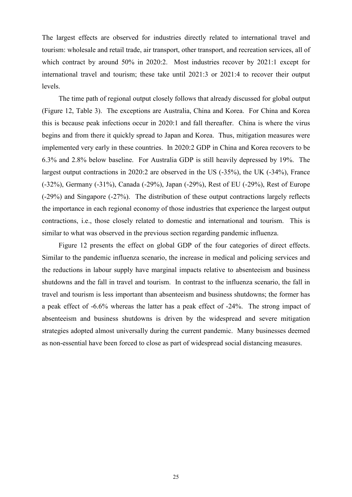The largest effects are observed for industries directly related to international travel and tourism: wholesale and retail trade, air transport, other transport, and recreation services, all of which contract by around 50% in 2020:2. Most industries recover by 2021:1 except for international travel and tourism; these take until 2021:3 or 2021:4 to recover their output levels.

 The time path of regional output closely follows that already discussed for global output (Figure 12, Table 3). The exceptions are Australia, China and Korea. For China and Korea this is because peak infections occur in 2020:1 and fall thereafter. China is where the virus begins and from there it quickly spread to Japan and Korea. Thus, mitigation measures were implemented very early in these countries. In 2020:2 GDP in China and Korea recovers to be 6.3% and 2.8% below baseline. For Australia GDP is still heavily depressed by 19%. The largest output contractions in 2020:2 are observed in the US  $(-35\%)$ , the UK  $(-34\%)$ , France (-32%), Germany (-31%), Canada (-29%), Japan (-29%), Rest of EU (-29%), Rest of Europe (129%) and Singapore (127%). The distribution of these output contractions largely reflects the importance in each regional economy of those industries that experience the largest output contractions, i.e., those closely related to domestic and international and tourism. This is similar to what was observed in the previous section regarding pandemic influenza.

 Figure 12 presents the effect on global GDP of the four categories of direct effects. Similar to the pandemic influenza scenario, the increase in medical and policing services and the reductions in labour supply have marginal impacts relative to absenteeism and business shutdowns and the fall in travel and tourism. In contrast to the influenza scenario, the fall in travel and tourism is less important than absenteeism and business shutdowns; the former has a peak effect of -6.6% whereas the latter has a peak effect of -24%. The strong impact of absenteeism and business shutdowns is driven by the widespread and severe mitigation strategies adopted almost universally during the current pandemic. Many businesses deemed as non-essential have been forced to close as part of widespread social distancing measures.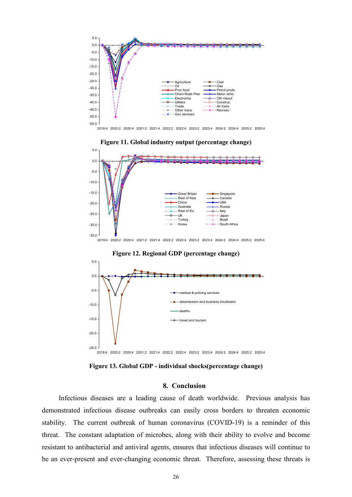



Figure 11. Global industry output (percentage change)



2019:4 2020:2 2020:4 2021:2 2021:4 2022:2 2022:4 2023:2 2023:4 2024:2 2024:4 2025:2 2025:4

Figure 13. Global GDP - individual shocks(percentage change)

## 8. Conclusion

 Infectious diseases are a leading cause of death worldwide. Previous analysis has demonstrated infectious disease outbreaks can easily cross borders to threaten economic stability. The current outbreak of human coronavirus (COVID-19) is a reminder of this threat. The constant adaptation of microbes, along with their ability to evolve and become resistant to antibacterial and antiviral agents, ensures that infectious diseases will continue to be an ever-present and ever-changing economic threat. Therefore, assessing these threats is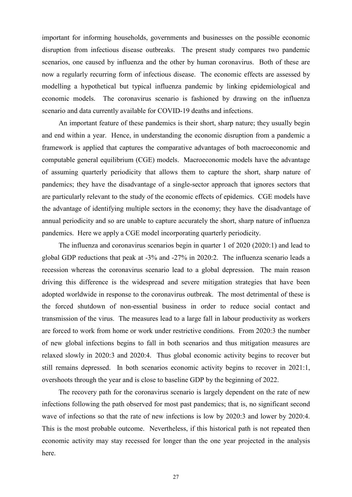important for informing households, governments and businesses on the possible economic disruption from infectious disease outbreaks. The present study compares two pandemic scenarios, one caused by influenza and the other by human coronavirus. Both of these are now a regularly recurring form of infectious disease. The economic effects are assessed by modelling a hypothetical but typical influenza pandemic by linking epidemiological and economic models. The coronavirus scenario is fashioned by drawing on the influenza scenario and data currently available for COVID-19 deaths and infections.

 An important feature of these pandemics is their short, sharp nature; they usually begin and end within a year. Hence, in understanding the economic disruption from a pandemic a framework is applied that captures the comparative advantages of both macroeconomic and computable general equilibrium (CGE) models. Macroeconomic models have the advantage of assuming quarterly periodicity that allows them to capture the short, sharp nature of pandemics; they have the disadvantage of a single-sector approach that ignores sectors that are particularly relevant to the study of the economic effects of epidemics. CGE models have the advantage of identifying multiple sectors in the economy; they have the disadvantage of annual periodicity and so are unable to capture accurately the short, sharp nature of influenza pandemics. Here we apply a CGE model incorporating quarterly periodicity.

 The influenza and coronavirus scenarios begin in quarter 1 of 2020 (2020:1) and lead to global GDP reductions that peak at -3% and -27% in 2020:2. The influenza scenario leads a recession whereas the coronavirus scenario lead to a global depression. The main reason driving this difference is the widespread and severe mitigation strategies that have been adopted worldwide in response to the coronavirus outbreak. The most detrimental of these is the forced shutdown of non-essential business in order to reduce social contact and transmission of the virus. The measures lead to a large fall in labour productivity as workers are forced to work from home or work under restrictive conditions. From 2020:3 the number of new global infections begins to fall in both scenarios and thus mitigation measures are relaxed slowly in 2020:3 and 2020:4. Thus global economic activity begins to recover but still remains depressed. In both scenarios economic activity begins to recover in 2021:1, overshoots through the year and is close to baseline GDP by the beginning of 2022.

 The recovery path for the coronavirus scenario is largely dependent on the rate of new infections following the path observed for most past pandemics; that is, no significant second wave of infections so that the rate of new infections is low by 2020:3 and lower by 2020:4. This is the most probable outcome. Nevertheless, if this historical path is not repeated then economic activity may stay recessed for longer than the one year projected in the analysis here.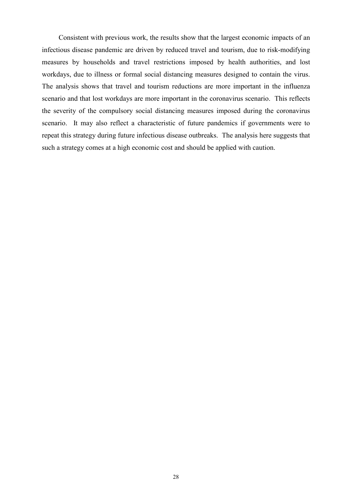Consistent with previous work, the results show that the largest economic impacts of an infectious disease pandemic are driven by reduced travel and tourism, due to risk-modifying measures by households and travel restrictions imposed by health authorities, and lost workdays, due to illness or formal social distancing measures designed to contain the virus. The analysis shows that travel and tourism reductions are more important in the influenza scenario and that lost workdays are more important in the coronavirus scenario. This reflects the severity of the compulsory social distancing measures imposed during the coronavirus scenario. It may also reflect a characteristic of future pandemics if governments were to repeat this strategy during future infectious disease outbreaks. The analysis here suggests that such a strategy comes at a high economic cost and should be applied with caution.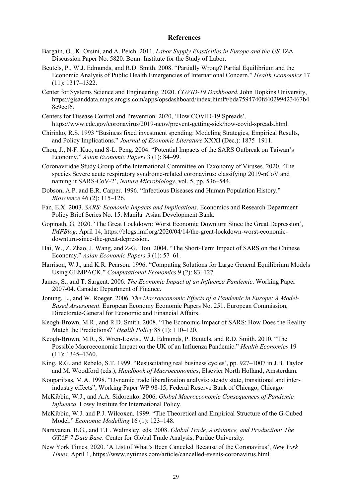#### **References**

- Bargain, O., K. Orsini, and A. Peich. 2011. *Labor Supply Elasticities in Europe and the US*. IZA Discussion Paper No. 5820. Bonn: Institute for the Study of Labor.
- Beutels, P., W.J. Edmunds, and R.D. Smith. 2008. "Partially Wrong? Partial Equilibrium and the Economic Analysis of Public Health Emergencies of International Concern." *Health Economics* 17 (11): 1317–1322.
- Center for Systems Science and Engineering. 2020. *COVID-19 Dashboard*, John Hopkins University, https://gisanddata.maps.arcgis.com/apps/opsdashboard/index.html#/bda7594740fd40299423467b4 8e9ecf6.
- Centers for Disease Control and Prevention. 2020, 'How COVID-19 Spreads', https://www.cdc.gov/coronavirus/2019-ncov/prevent-getting-sick/how-covid-spreads.html.
- Chirinko, R.S. 1993 "Business fixed investment spending: Modeling Strategies, Empirical Results, and Policy Implications." *Journal of Economic Literature* XXXI (Dec.): 1875–1911.
- Chou, J., N-F. Kuo, and S-L. Peng. 2004. "Potential Impacts of the SARS Outbreak on Taiwan's Economy." *Asian Economic Papers* 3 (1): 84–99.
- Coronaviridae Study Group of the International Committee on Taxonomy of Viruses. 2020, 'The species Severe acute respiratory syndrome-related coronavirus: classifying 2019-nCoV and naming it SARS-CoV-2', *Nature Microbiology*, vol. 5, pp. 536–544.
- Dobson, A.P. and E.R. Carper. 1996. "Infectious Diseases and Human Population History." *Bioscience* 46 (2): 115–126.
- Fan, E.X. 2003. *SARS: Economic Impacts and Implications*. Economics and Research Department Policy Brief Series No. 15. Manila: Asian Development Bank.
- Gopinath, G. 2020. 'The Great Lockdown: Worst Economic Downturn Since the Great Depression', *IMFBlog, April 14, https://blogs.imf.org/2020/04/14/the-great-lockdown-worst-economic*downturn-since-the-great-depression.
- Hai, W., Z. Zhao, J. Wang, and Z-G. Hou. 2004. "The Short-Term Impact of SARS on the Chinese Economy." *Asian Economic Papers* 3 (1): 57–61.
- Harrison, W.J., and K.R. Pearson. 1996. "Computing Solutions for Large General Equilibrium Models Using GEMPACK." *Computational Economics* 9 (2): 83–127.
- James, S., and T. Sargent. 2006. *The Economic Impact of an Influenza Pandemic*. Working Paper 2007-04. Canada: Department of Finance.
- Jonung, L., and W. Roeger. 2006. *The Macroeconomic Effects of a Pandemic in Europe: A Model-Based Assessment*. European Economy Economic Papers No. 251. European Commission, Directorate-General for Economic and Financial Affairs.
- Keogh-Brown, M.R., and R.D. Smith. 2008. "The Economic Impact of SARS: How Does the Reality Match the Predictions?" *Health Policy* 88 (1): 110–120.
- Keogh-Brown, M.R., S. Wren-Lewis., W.J. Edmunds, P. Beutels, and R.D. Smith. 2010. "The Possible Macroeconomic Impact on the UK of an Influenza Pandemic." *Health Economics* 19 (11): 1345–1360.
- King, R.G. and Rebelo, S.T. 1999. "Resuscitating real business cycles', pp. 927–1007 in J.B. Taylor and M. Woodford (eds.), *Handbook of Macroeconomics*, Elsevier North Holland, Amsterdam.
- Kouparitsas, M.A. 1998. "Dynamic trade liberalization analysis: steady state, transitional and inter1 industry effects", Working Paper WP 98-15, Federal Reserve Bank of Chicago, Chicago.
- McKibbin, W.J., and A.A. Sidorenko. 2006. *Global Macroeconomic Consequences of Pandemic Influenza*. Lowy Institute for International Policy.
- McKibbin, W.J. and P.J. Wilcoxen. 1999. "The Theoretical and Empirical Structure of the G-Cubed Model." *Economic Modelling* 16 (1): 123–148.
- Narayanan, B.G., and T.L. Walmsley. eds. 2008. *Global Trade, Assistance, and Production: The GTAP 7 Data Base*. Center for Global Trade Analysis, Purdue University.
- New York Times. 2020. 'A List of What's Been Canceled Because of the Coronavirus', *New York Times, April 1, https://www.nytimes.com/article/cancelled-events-coronavirus.html.*